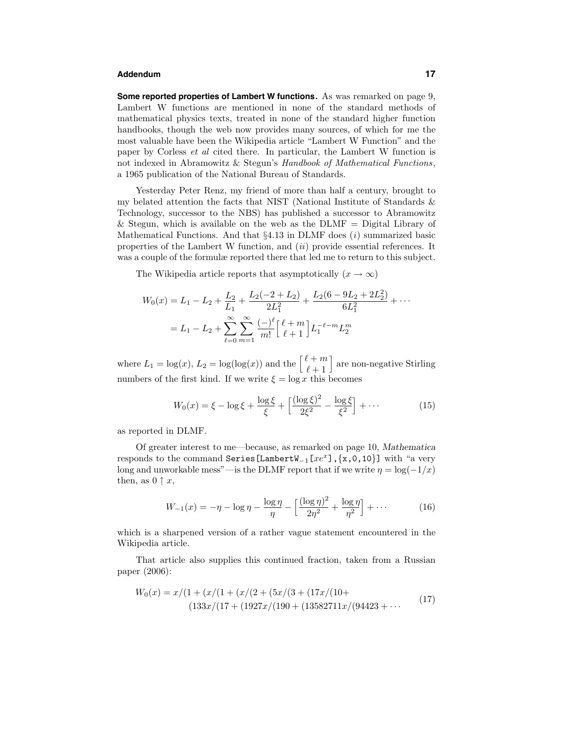## **Addendum 17**

**Some reported properties of Lambert W functions.** As was remarked on page 9, Lambert W functions are mentioned in none of the standard methods of mathematical physics texts, treated in none of the standard higher function handbooks, though the web now provides many sources, of which for me the most valuable have been the Wikipedia article "Lambert W Function" and the paper by Corless et al cited there. In particular, the Lambert W function is not indexed in Abramowitz & Stegun's Handbook of Mathematical Functions, a 1965 publication of the National Bureau of Standards.

Yesterday Peter Renz, my friend of more than half a century, brought to my belated attention the facts that NIST (National Institute of Standards & Technology, successor to the NBS) has published a successor to Abramowitz & Stegun, which is available on the web as the  $DLMF = Digital Library of$ Mathematical Functions. And that  $\S 4.13$  in DLMF does  $(i)$  summarized basic properties of the Lambert W function, and  $(ii)$  provide essential references. It was a couple of the formulæ reported there that led me to return to this subject.

The Wikipedia article reports that asymptotically  $(x \to \infty)$ 

$$
W_0(x) = L_1 - L_2 + \frac{L_2}{L_1} + \frac{L_2(-2 + L_2)}{2L_1^2} + \frac{L_2(6 - 9L_2 + 2L_2^2)}{6L_1^2} + \cdots
$$
  
=  $L_1 - L_2 + \sum_{\ell=0}^{\infty} \sum_{m=1}^{\infty} \frac{(-)^{\ell}}{m!} {\ell + 1 \brack \ell + 1} L_1^{-\ell - m} L_2^m$ 

where  $L_1 = \log(x)$ ,  $L_2 = \log(\log(x))$  and the  $\begin{bmatrix} \ell+m \\ \ell+1 \end{bmatrix}$ are non-negative Stirling numbers of the first kind. If we write  $\xi = \log x$  this becomes

$$
W_0(x) = \xi - \log \xi + \frac{\log \xi}{\xi} + \left[ \frac{(\log \xi)^2}{2\xi^2} - \frac{\log \xi}{\xi^2} \right] + \cdots
$$
 (15)

as reported in DLMF.

Of greater interest to me—because, as remarked on page 10, Mathematica responds to the command Series[LambertW<sub>-1</sub>[ $xe^x$ ], {x,0,10}] with "a very long and unworkable mess"—is the DLMF report that if we write  $\eta = \log(-1/x)$ then, as  $0 \uparrow x$ ,

$$
W_{-1}(x) = -\eta - \log \eta - \frac{\log \eta}{\eta} - \left[ \frac{(\log \eta)^2}{2\eta^2} + \frac{\log \eta}{\eta^2} \right] + \cdots
$$
 (16)

which is a sharpened version of a rather vague statement encountered in the Wikipedia article.

That article also supplies this continued fraction, taken from a Russian paper (2006):

$$
W_0(x) = x/(1 + (x/(1 + (x/(2 + (5x/(3 + (17x/(10 + (13582711x/(94423 + \cdots))))17))
$$
  
(133x)/(17 + (1927x/(190 + (13582711x/(94423 + \cdots))))17))